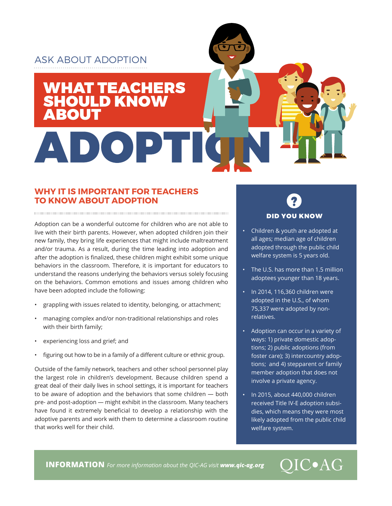# ASK ABOUT ADOPTION

ABOUT

# **WHY IT IS IMPORTANT FOR TEACHERS TO KNOW ABOUT ADOPTION**

DOPT

П

WHAT TEACHERS

**SHOULD KNOW** 

Adoption can be a wonderful outcome for children who are not able to live with their birth parents. However, when adopted children join their new family, they bring life experiences that might include maltreatment and/or trauma. As a result, during the time leading into adoption and after the adoption is finalized, these children might exhibit some unique behaviors in the classroom. Therefore, it is important for educators to understand the reasons underlying the behaviors versus solely focusing on the behaviors. Common emotions and issues among children who have been adopted include the following:

- grappling with issues related to identity, belonging, or attachment;
- managing complex and/or non-traditional relationships and roles with their birth family;
- experiencing loss and grief; and
- figuring out how to be in a family of a different culture or ethnic group.

Outside of the family network, teachers and other school personnel play the largest role in children's development. Because children spend a great deal of their daily lives in school settings, it is important for teachers to be aware of adoption and the behaviors that some children — both pre- and post-adoption — might exhibit in the classroom. Many teachers have found it extremely beneficial to develop a relationship with the adoptive parents and work with them to determine a classroom routine that works well for their child.

# DID YOU KNOW

- Children & youth are adopted at all ages; median age of children adopted through the public child welfare system is 5 years old.
- The U.S. has more than 1.5 million adoptees younger than 18 years.
- In 2014, 116,360 children were adopted in the U.S., of whom 75,337 were adopted by nonrelatives.
- Adoption can occur in a variety of ways: 1) private domestic adoptions; 2) public adoptions (from foster care); 3) intercountry adoptions; and 4) stepparent or family member adoption that does not involve a private agency.
- In 2015, about 440,000 children received Title IV-E adoption subsidies, which means they were most likely adopted from the public child welfare system.

**INFORMATION** *For more information about the QIC-AG visit www.qic-ag.org*

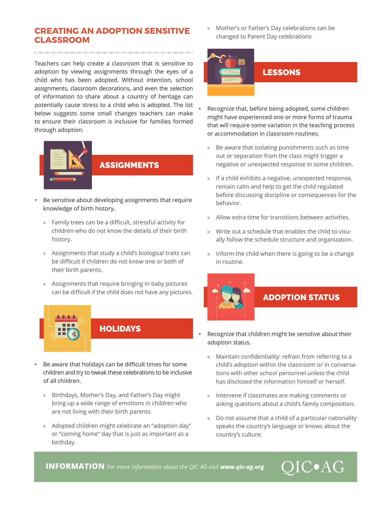## **CREATING AN ADOPTION SENSITIVE CLASSROOM**

Teachers can help create a classroom that is sensitive to adoption by viewing assignments through the eyes of a child who has been adopted. Without intention, school assignments, classroom decorations, and even the selection of information to share about a country of heritage can potentially cause stress to a child who is adopted. The list below suggests some small changes teachers can make to ensure their classroom is inclusive for families formed through adoption:



#### ASSIGNMENTS

- Be sensitive about developing assignments that require knowledge of birth history.
	- » Family trees can be a difficult, stressful activity for children who do not know the details of their birth history.
	- » Assignments that study a child's biological traits can be difficult if children do not know one or both of their birth parents.
	- » Assignments that require bringing in baby pictures can be difficult if the child does not have any pictures.



## HOLIDAYS

- Be aware that holidays can be difficult times for some children and try to tweak these celebrations to be inclusive of all children.
- » Birthdays, Mother's Day, and Father's Day might bring up a wide range of emotions in children who are not living with their birth parents.
- » Adopted children might celebrate an "adoption day" or "coming home" day that is just as important as a birthday.

» Mother's or Father's Day celebrations can be changed to Parent Day celebrations



- Recognize that, before being adopted, some children might have experienced one or more forms of trauma that will require some variation in the teaching process or accommodation in classroom routines.
	- » Be aware that isolating punishments such as time out or separation from the class might trigger a negative or unexpected response in some children.
	- » If a child exhibits a negative, unexpected response, remain calm and help to get the child regulated before discussing discipline or consequences for the behavior.
	- » Allow extra time for transitions between activities.
	- » Write out a schedule that enables the child to visually follow the schedule structure and organization.
	- » Inform the child when there is going to be a change in routine.



# ADOPTION STATUS

- Recognize that children might be sensitive about their adoption status.
	- » Maintain confidentiality: refrain from referring to a child's adoption within the classroom or in conversations with other school personnel unless the child has disclosed the information himself or herself.
	- » Intervene if classmates are making comments or asking questions about a child's family composition.
	- » Do not assume that a child of a particular nationality speaks the country's language or knows about the country's culture.

OIC.AG

**INFORMATION** *For more information about the QIC-AG visit www.qic-ag.org*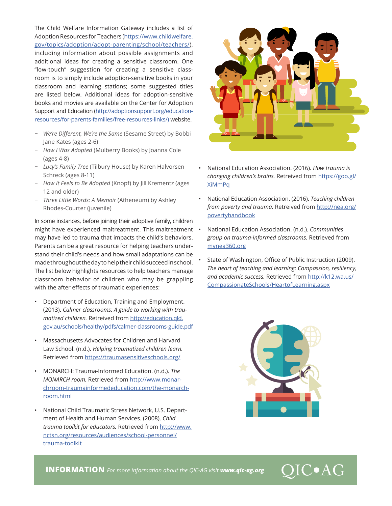The Child Welfare Information Gateway includes a list of Adoption Resources for Teachers [\(https://www.childwelfare.](https://www.childwelfare.gov/topics/adoption/adopt-parenting/school/teachers/) [gov/topics/adoption/adopt-parenting/school/teachers/](https://www.childwelfare.gov/topics/adoption/adopt-parenting/school/teachers/)), including information about possible assignments and additional ideas for creating a sensitive classroom. One "low-touch" suggestion for creating a sensitive classroom is to simply include adoption-sensitive books in your classroom and learning stations; some suggested titles are listed below. Additional ideas for adoption-sensitive books and movies are available on the Center for Adoption Support and Education [\(http://adoptionsupport.org/education](http://adoptionsupport.org/education-resources/for-parents-families/free-resources-links/)[resources/for-parents-families/free-resources-links/\)](http://adoptionsupport.org/education-resources/for-parents-families/free-resources-links/) website.

- − *We're Different, We're the Same* (Sesame Street) by Bobbi Jane Kates (ages 2-6)
- − *How I Was Adopted* (Mulberry Books) by Joanna Cole (ages 4-8)
- − *Lucy's Family Tree* (Tilbury House) by Karen Halvorsen Schreck (ages 8-11)
- − *How It Feels to Be Adopted* (Knopf) by Jill Krementz (ages 12 and older)
- − *Three Little Words: A Memoir* (Atheneum) by Ashley Rhodes-Courter (juvenile)

In some instances, before joining their adoptive family, children might have experienced maltreatment. This maltreatment may have led to trauma that impacts the child's behaviors. Parents can be a great resource for helping teachers understand their child's needs and how small adaptations can be made throughout the day to help their child succeed in school. The list below highlights resources to help teachers manage classroom behavior of children who may be grappling with the after effects of traumatic experiences:

- Department of Education, Training and Employment. (2013). *Calmer classrooms: A guide to working with traumatized children.* Retreived from [http://education.qld.](http://education.qld.gov.au/schools/healthy/pdfs/calmer-classrooms-guide.pdf) [gov.au/schools/healthy/pdfs/calmer-classrooms-guide.pdf](http://education.qld.gov.au/schools/healthy/pdfs/calmer-classrooms-guide.pdf)
- Massachusetts Advocates for Children and Harvard Law School. (n.d.). *Helping traumatized children learn.* Retrieved from [https://traumasensitiveschools.org/](https://traumasensitiveschools.org/ )
- MONARCH: Trauma-Informed Education. (n.d.). *The MONARCH room.* Retrieved from [http://www.monar](http://www.monarchroom-traumainformededucation.com/the-monarch-room.html)[chroom-traumainformededucation.com/the-monarch](http://www.monarchroom-traumainformededucation.com/the-monarch-room.html)[room.html](http://www.monarchroom-traumainformededucation.com/the-monarch-room.html)
- National Child Traumatic Stress Network, U.S. Department of Health and Human Services. (2008). *Child trauma toolkit for educators.* Retrieved from [http://www.](http://www.nctsn.org/resources/audiences/school-personnel/trauma-toolkit) [nctsn.org/resources/audiences/school-personnel/](http://www.nctsn.org/resources/audiences/school-personnel/trauma-toolkit) [trauma-toolkit](http://www.nctsn.org/resources/audiences/school-personnel/trauma-toolkit)



- National Education Association. (2016). *How trauma is changing children's brains.* Retreived from [https://goo.gl/](https://goo.gl/XiMmPq) [XiMmPq](https://goo.gl/XiMmPq)
- National Education Association. (2016). *Teaching children from poverty and trauma.* Retreived from [http://nea.org/](http://nea.org/povertyhandbook) [povertyhandbook](http://nea.org/povertyhandbook)
- National Education Association. (n.d.). *Communities group on trauma-informed classrooms.* Retrieved from [mynea360.org](http://mynea360.org)
- State of Washington, Office of Public Instruction (2009). *The heart of teaching and learning: Compassion, resiliency, and academic success.* Retrieved from [http://k12.wa.us/](http://k12.wa.us/CompassionateSchools/HeartofLearning.aspx) [CompassionateSchools/HeartofLearning.aspx](http://k12.wa.us/CompassionateSchools/HeartofLearning.aspx)



**INFORMATION** *For more information about the QIC-AG visit www.qic-ag.org*